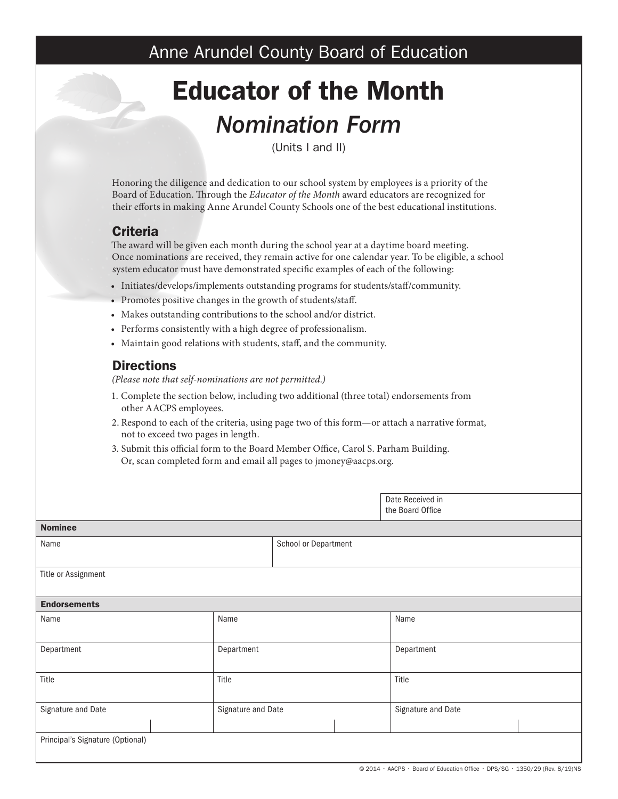# Anne Arundel County Board of Education

# Educator of the Month *Nomination Form*

(Units I and II)

Honoring the diligence and dedication to our school system by employees is a priority of the Board of Education. Through the *Educator of the Month* award educators are recognized for their efforts in making Anne Arundel County Schools one of the best educational institutions.

## **Criteria**

The award will be given each month during the school year at a daytime board meeting. Once nominations are received, they remain active for one calendar year. To be eligible, a school system educator must have demonstrated specific examples of each of the following:

- Initiates/develops/implements outstanding programs for students/staff/community.
- Promotes positive changes in the growth of students/staff.
- Makes outstanding contributions to the school and/or district.
- Performs consistently with a high degree of professionalism.
- Maintain good relations with students, staff, and the community.

### **Directions**

*(Please note that self-nominations are not permitted.)*

- 1. Complete the section below, including two additional (three total) endorsements from other AACPS employees.
- 2. Respond to each of the criteria, using page two of this form—or attach a narrative format, not to exceed two pages in length.
- 3. Submit this official form to the Board Member Office, Carol S. Parham Building. Or, scan completed form and email all pages to jmoney@aacps.org.

|                                  |                    |                      |      | Date Received in<br>the Board Office |  |
|----------------------------------|--------------------|----------------------|------|--------------------------------------|--|
| <b>Nominee</b>                   |                    |                      |      |                                      |  |
| Name                             |                    | School or Department |      |                                      |  |
|                                  |                    |                      |      |                                      |  |
| Title or Assignment              |                    |                      |      |                                      |  |
|                                  |                    |                      |      |                                      |  |
| <b>Endorsements</b>              |                    |                      |      |                                      |  |
| Name                             | Name               |                      | Name |                                      |  |
| Department                       | Department         |                      |      | Department                           |  |
| Title                            | Title              |                      |      | Title                                |  |
| Signature and Date               | Signature and Date |                      |      | Signature and Date                   |  |
| Principal's Signature (Optional) |                    |                      |      |                                      |  |